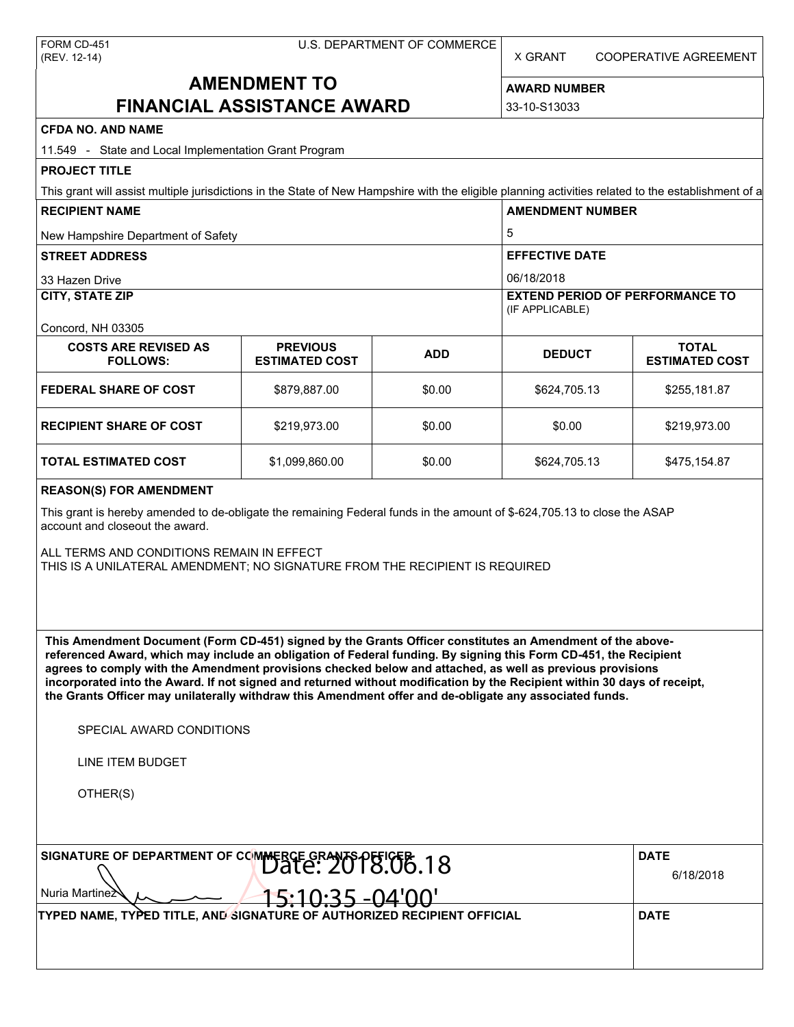|              | FORM CD-451 |
|--------------|-------------|
| (REV. 12-14) |             |

X GRANT COOPERATIVE AGREEMENT

# **AMENDMENT TO FINANCIAL ASSISTANCE AWARD**

**AWARD NUMBER** 33-10-S13033

**CFDA NO. AND NAME**

| CFDA NO. AND NAME<br>11.549 - State and Local Implementation Grant Program                                                                                                                                                                                                                                                                                                                                                                                                                                                                                                                                    |                                          |            |                                                           |                                       |  |
|---------------------------------------------------------------------------------------------------------------------------------------------------------------------------------------------------------------------------------------------------------------------------------------------------------------------------------------------------------------------------------------------------------------------------------------------------------------------------------------------------------------------------------------------------------------------------------------------------------------|------------------------------------------|------------|-----------------------------------------------------------|---------------------------------------|--|
| <b>PROJECT TITLE</b>                                                                                                                                                                                                                                                                                                                                                                                                                                                                                                                                                                                          |                                          |            |                                                           |                                       |  |
| This grant will assist multiple jurisdictions in the State of New Hampshire with the eligible planning activities related to the establishment of a                                                                                                                                                                                                                                                                                                                                                                                                                                                           |                                          |            |                                                           |                                       |  |
| <b>RECIPIENT NAME</b>                                                                                                                                                                                                                                                                                                                                                                                                                                                                                                                                                                                         |                                          |            | <b>AMENDMENT NUMBER</b>                                   |                                       |  |
| New Hampshire Department of Safety                                                                                                                                                                                                                                                                                                                                                                                                                                                                                                                                                                            |                                          |            | 5                                                         |                                       |  |
| <b>STREET ADDRESS</b>                                                                                                                                                                                                                                                                                                                                                                                                                                                                                                                                                                                         |                                          |            | <b>EFFECTIVE DATE</b>                                     |                                       |  |
| 33 Hazen Drive                                                                                                                                                                                                                                                                                                                                                                                                                                                                                                                                                                                                |                                          |            | 06/18/2018                                                |                                       |  |
| <b>CITY, STATE ZIP</b>                                                                                                                                                                                                                                                                                                                                                                                                                                                                                                                                                                                        |                                          |            | <b>EXTEND PERIOD OF PERFORMANCE TO</b><br>(IF APPLICABLE) |                                       |  |
| Concord, NH 03305                                                                                                                                                                                                                                                                                                                                                                                                                                                                                                                                                                                             |                                          |            |                                                           |                                       |  |
| <b>COSTS ARE REVISED AS</b><br><b>FOLLOWS:</b>                                                                                                                                                                                                                                                                                                                                                                                                                                                                                                                                                                | <b>PREVIOUS</b><br><b>ESTIMATED COST</b> | <b>ADD</b> | <b>DEDUCT</b>                                             | <b>TOTAL</b><br><b>ESTIMATED COST</b> |  |
| <b>FEDERAL SHARE OF COST</b>                                                                                                                                                                                                                                                                                                                                                                                                                                                                                                                                                                                  | \$879,887.00                             | \$0.00     | \$624,705.13                                              | \$255,181.87                          |  |
| <b>RECIPIENT SHARE OF COST</b>                                                                                                                                                                                                                                                                                                                                                                                                                                                                                                                                                                                | \$219,973.00                             | \$0.00     | \$0.00                                                    | \$219,973.00                          |  |
| <b>TOTAL ESTIMATED COST</b>                                                                                                                                                                                                                                                                                                                                                                                                                                                                                                                                                                                   | \$1,099,860.00                           | \$0.00     | \$624,705.13                                              | \$475,154.87                          |  |
| <b>REASON(S) FOR AMENDMENT</b><br>This grant is hereby amended to de-obligate the remaining Federal funds in the amount of \$-624,705.13 to close the ASAP<br>account and closeout the award.<br>ALL TERMS AND CONDITIONS REMAIN IN EFFECT<br>THIS IS A UNILATERAL AMENDMENT; NO SIGNATURE FROM THE RECIPIENT IS REQUIRED                                                                                                                                                                                                                                                                                     |                                          |            |                                                           |                                       |  |
| This Amendment Document (Form CD-451) signed by the Grants Officer constitutes an Amendment of the above-<br>referenced Award, which may include an obligation of Federal funding. By signing this Form CD-451, the Recipient<br>agrees to comply with the Amendment provisions checked below and attached, as well as previous provisions<br>incorporated into the Award. If not signed and returned without modification by the Recipient within 30 days of receipt,<br>the Grants Officer may unilaterally withdraw this Amendment offer and de-obligate any associated funds.<br>SPECIAL AWARD CONDITIONS |                                          |            |                                                           |                                       |  |
| <b>LINE ITEM BUDGET</b>                                                                                                                                                                                                                                                                                                                                                                                                                                                                                                                                                                                       |                                          |            |                                                           |                                       |  |
| OTHER(S)                                                                                                                                                                                                                                                                                                                                                                                                                                                                                                                                                                                                      |                                          |            |                                                           |                                       |  |
| SIGNATURE OF DEPARTMENT OF COMMERCE GRANTS OFFICER 18<br>Nuria Martinez                                                                                                                                                                                                                                                                                                                                                                                                                                                                                                                                       |                                          |            |                                                           | <b>DATE</b><br>6/18/2018              |  |
| TYPED NAME, TYPED TITLE, AND SIGNATURE OF AUTHORIZED RECIPIENT OFFICIAL                                                                                                                                                                                                                                                                                                                                                                                                                                                                                                                                       | 5:10:35 -04'00'                          |            |                                                           | <b>DATE</b>                           |  |
|                                                                                                                                                                                                                                                                                                                                                                                                                                                                                                                                                                                                               |                                          |            |                                                           |                                       |  |